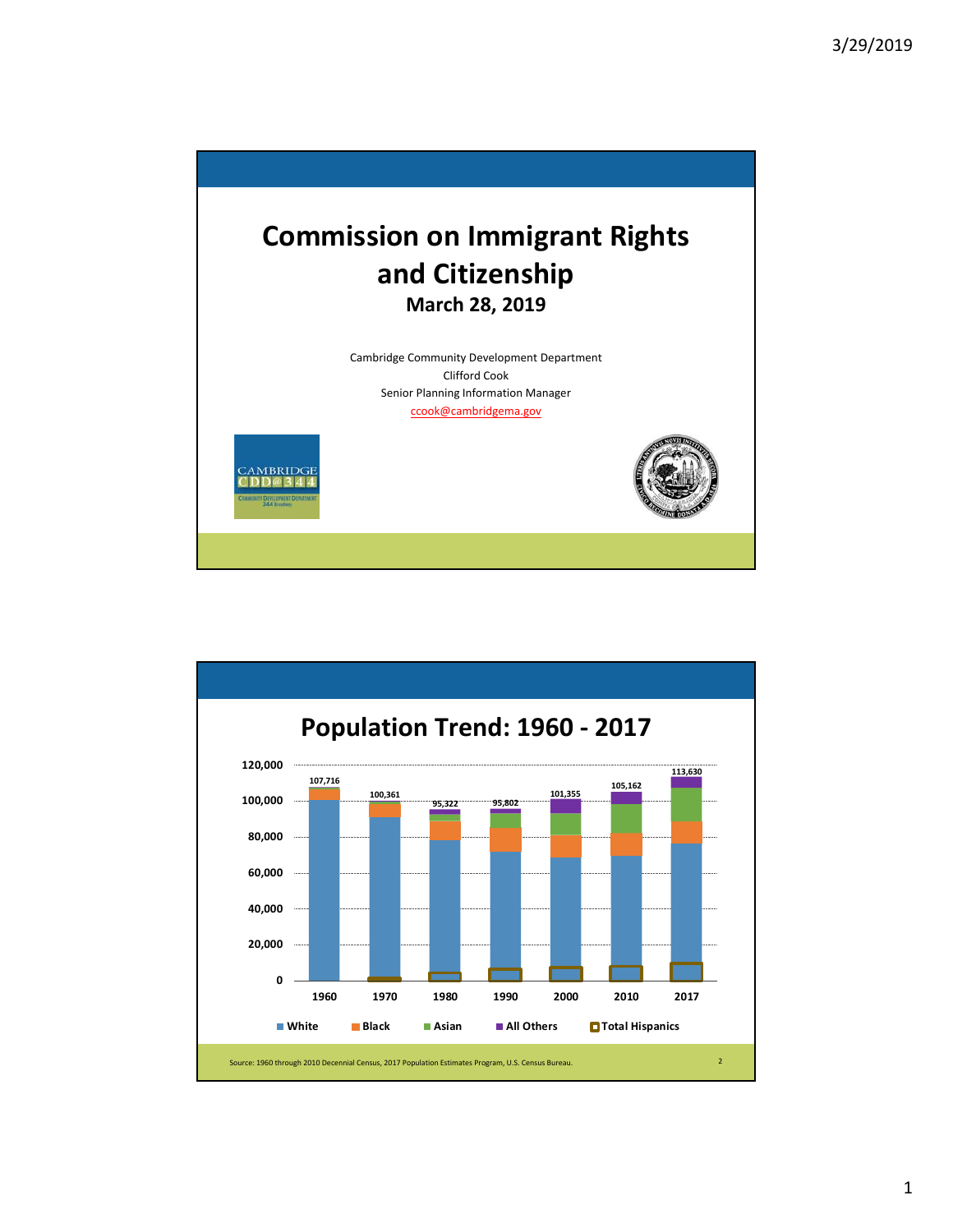

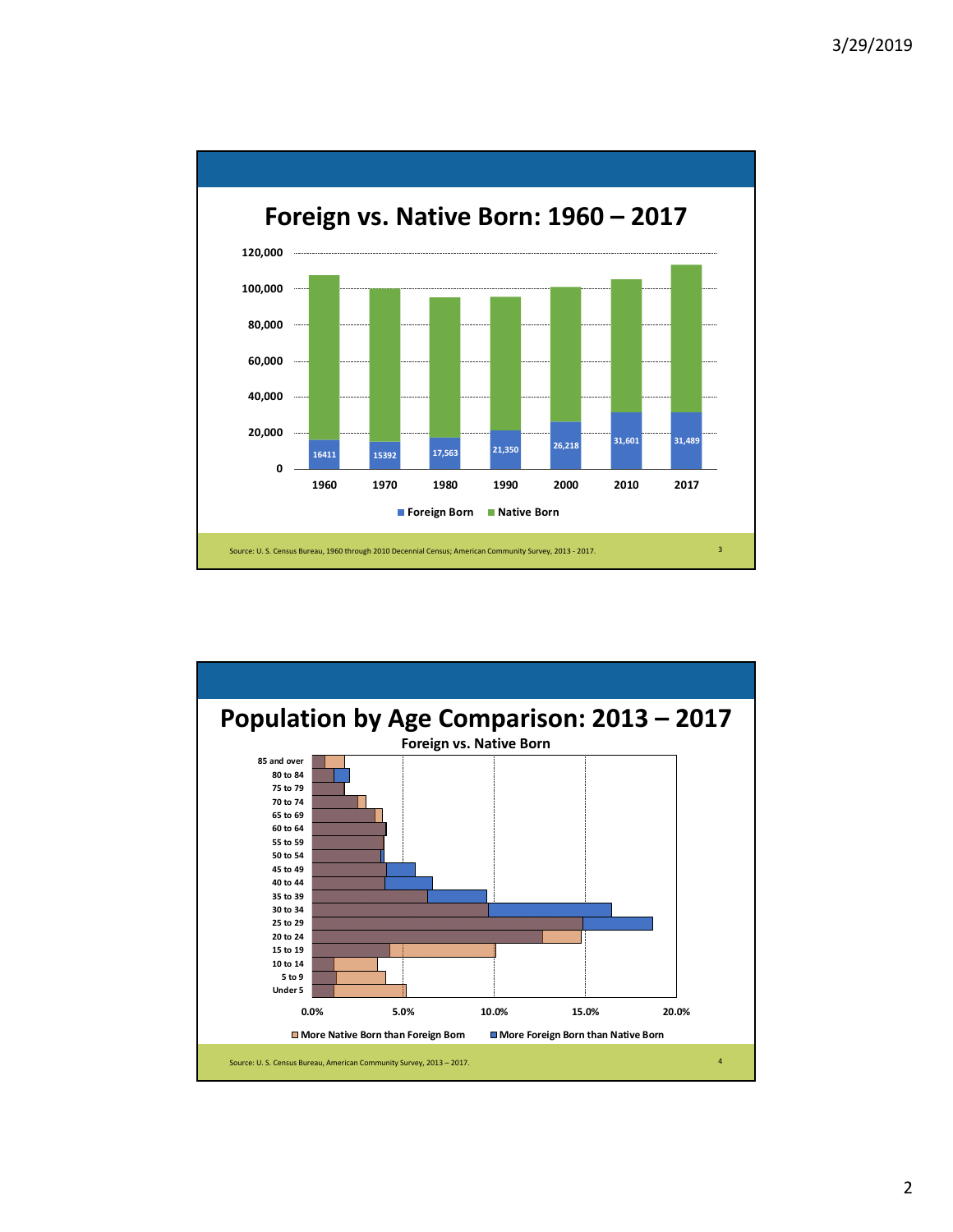

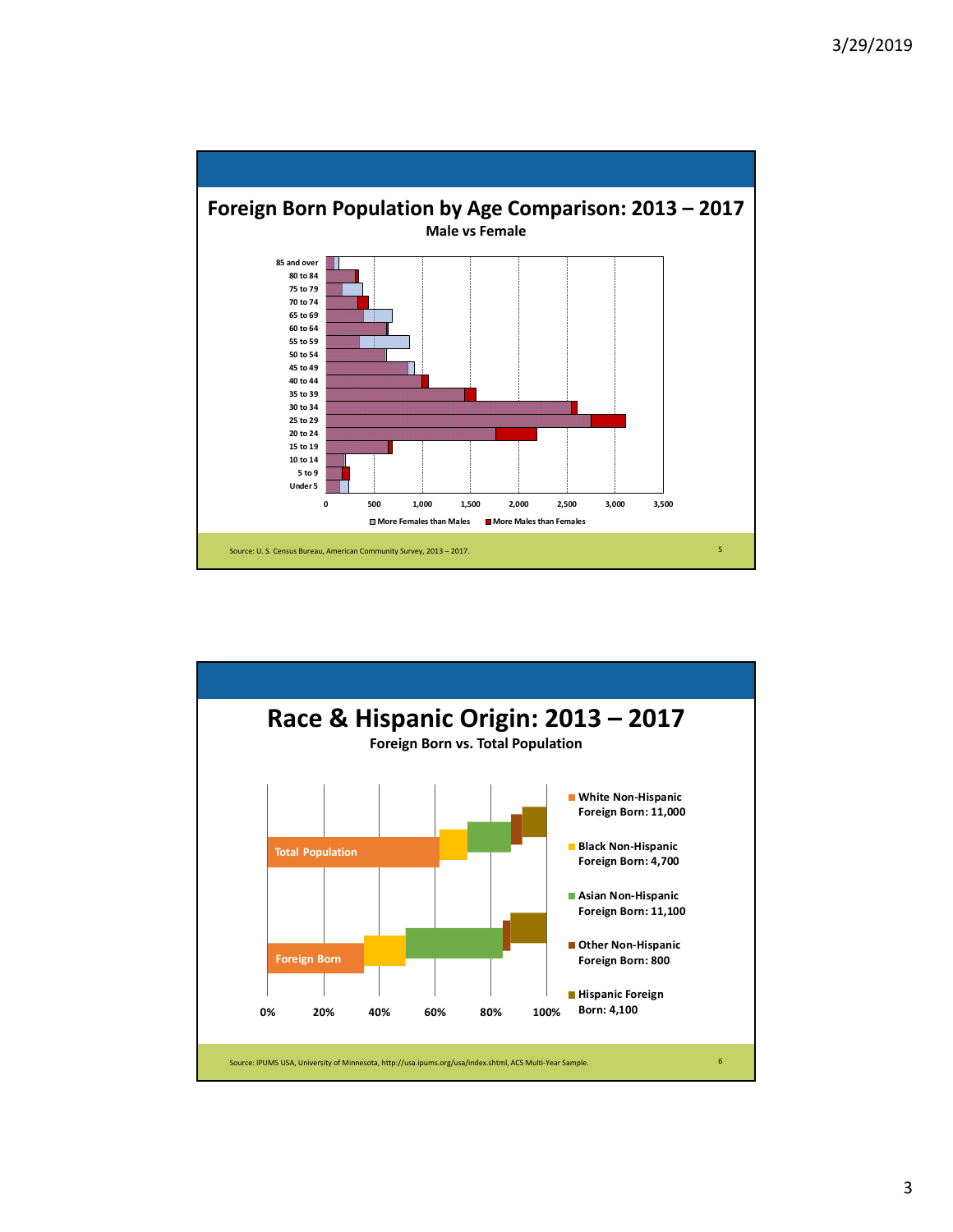

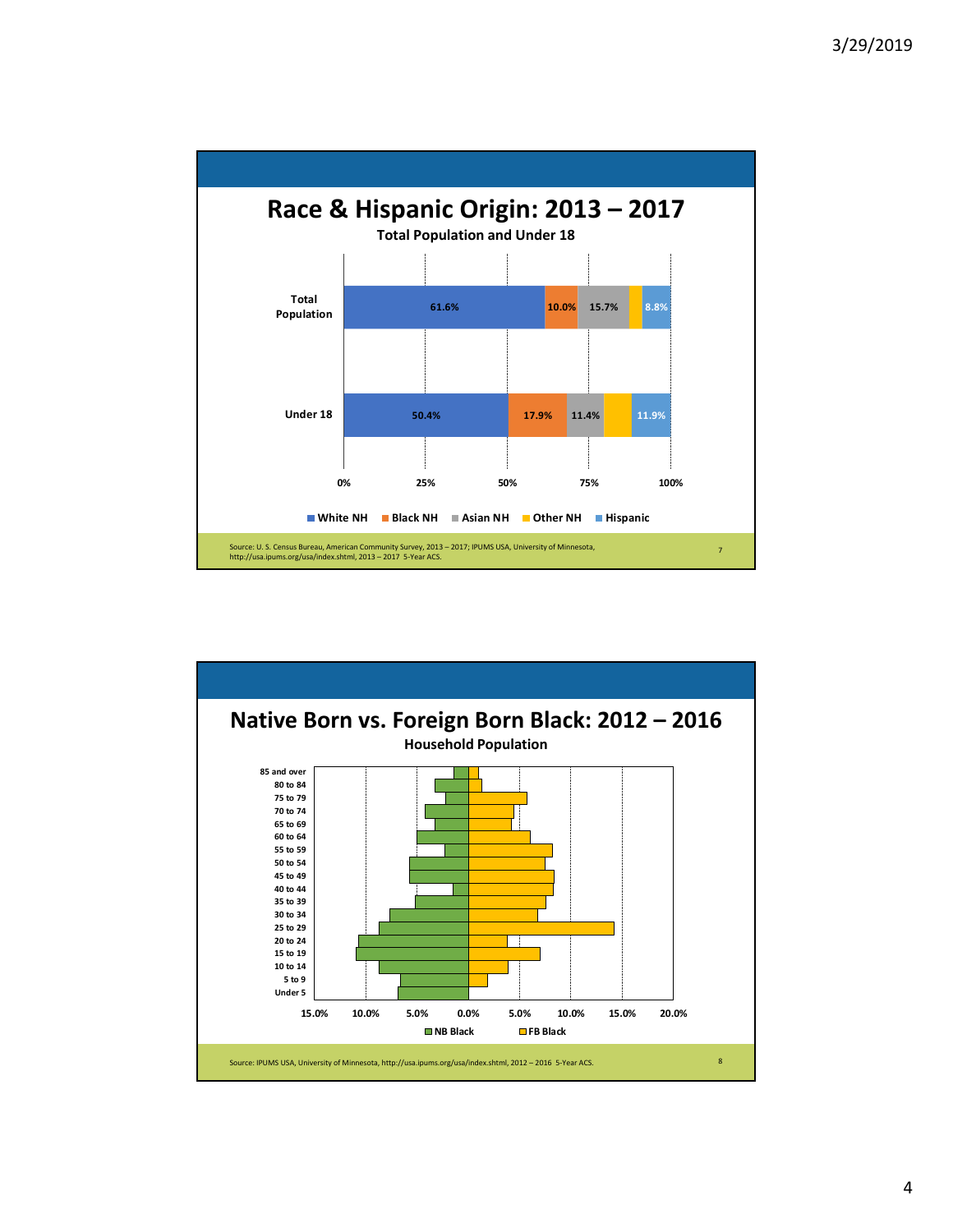

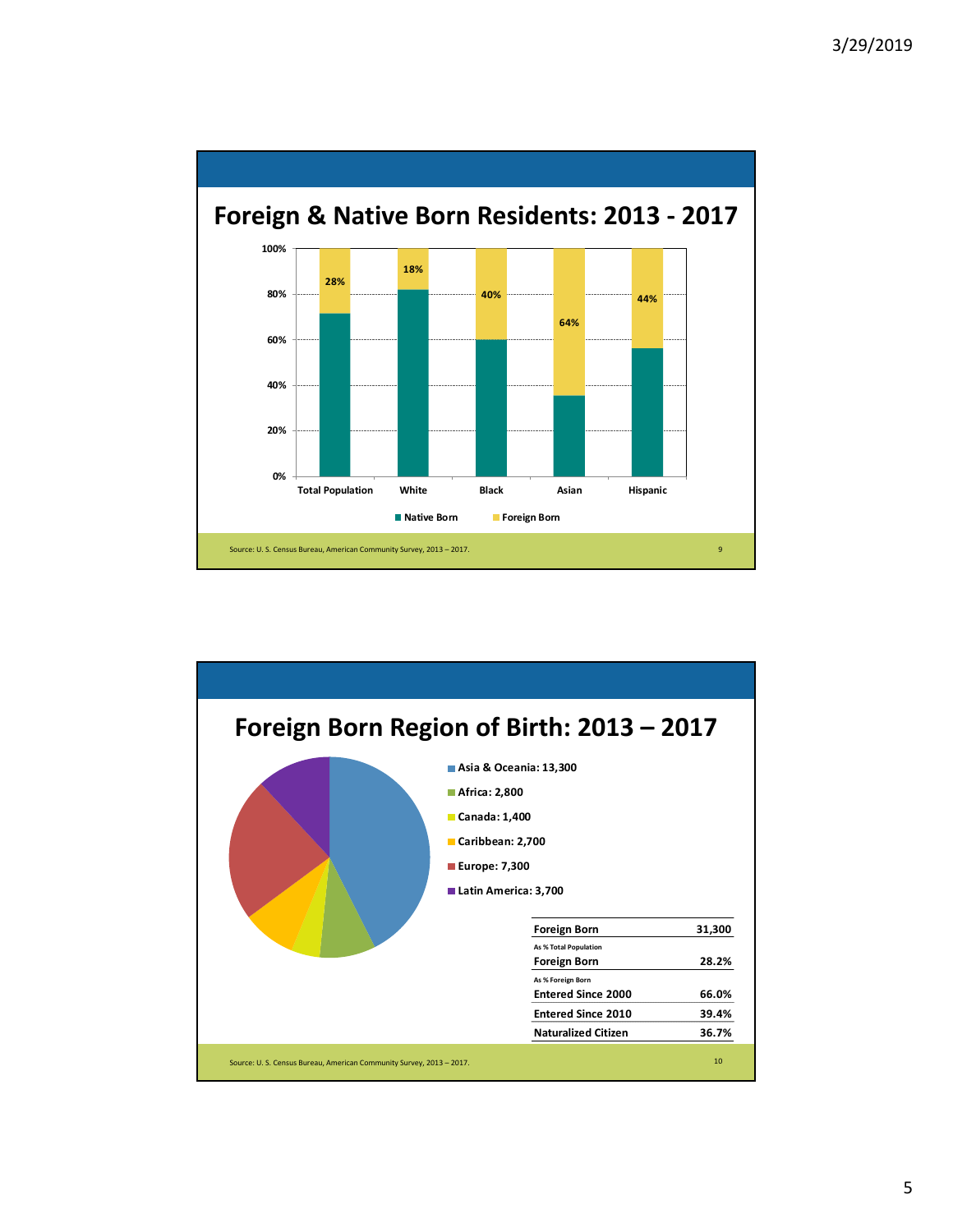

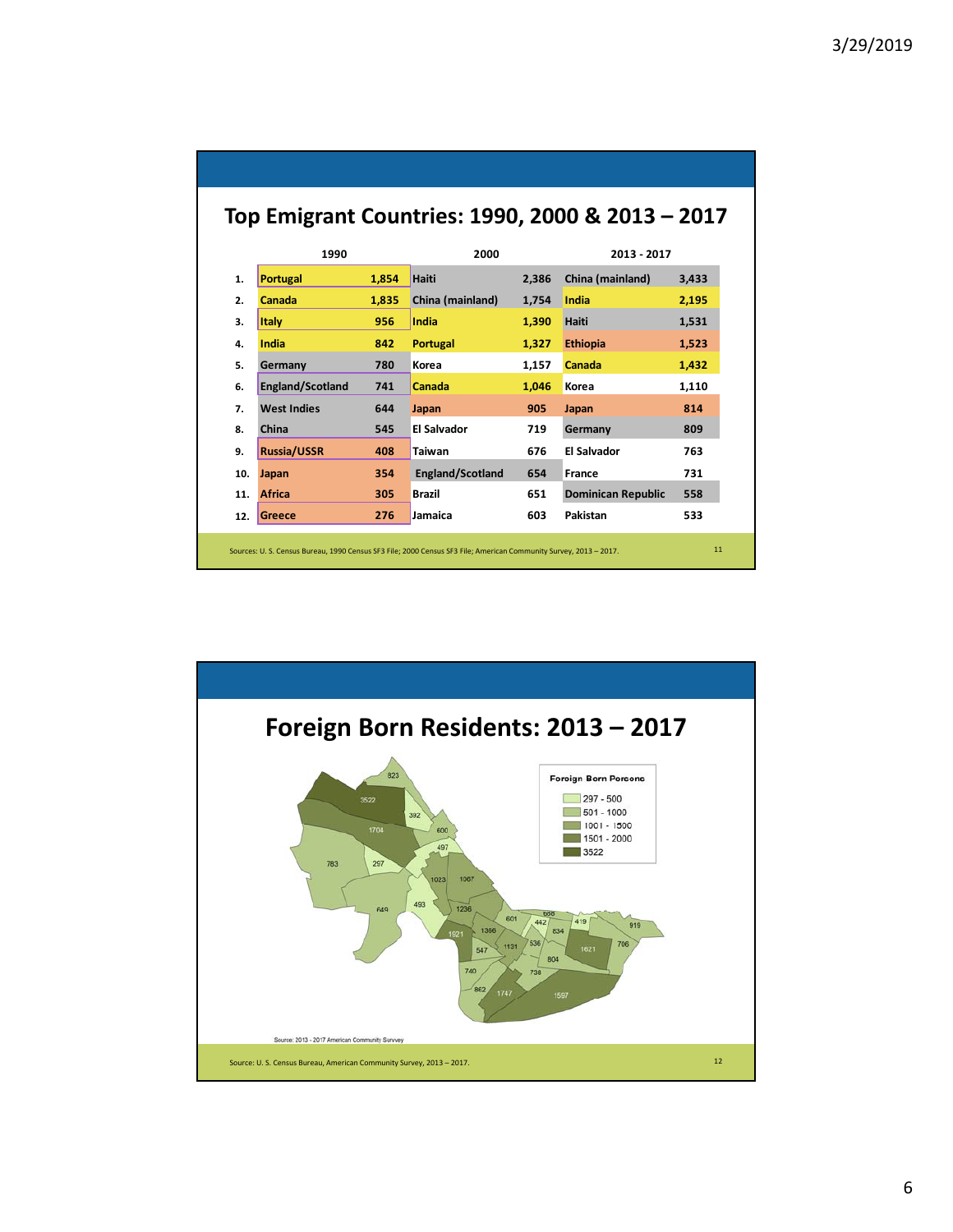| 1990<br><b>Portugal</b><br>Canada<br>Italy<br>India | 1.854<br>1.835<br>956 | 2000<br>Haiti<br>China (mainland)<br>India | 2.386<br>1.754 | 2013 - 2017<br>China (mainland)<br>India | 3.433<br>2,195                                                                                                    |
|-----------------------------------------------------|-----------------------|--------------------------------------------|----------------|------------------------------------------|-------------------------------------------------------------------------------------------------------------------|
|                                                     |                       |                                            |                |                                          |                                                                                                                   |
|                                                     |                       |                                            |                |                                          |                                                                                                                   |
|                                                     |                       |                                            |                |                                          |                                                                                                                   |
|                                                     |                       |                                            | 1,390          | <b>Haiti</b>                             | 1,531                                                                                                             |
|                                                     | 842                   | <b>Portugal</b>                            | 1,327          | <b>Ethiopia</b>                          | 1,523                                                                                                             |
| Germany                                             | 780                   | Korea                                      | 1,157          | Canada                                   | 1,432                                                                                                             |
| <b>England/Scotland</b>                             | 741                   | Canada                                     | 1.046          | Korea                                    | 1,110                                                                                                             |
| <b>West Indies</b>                                  | 644                   | Japan                                      | 905            | Japan                                    | 814                                                                                                               |
| China                                               | 545                   | El Salvador                                | 719            | Germany                                  | 809                                                                                                               |
| <b>Russia/USSR</b>                                  | 408                   | <b>Taiwan</b>                              | 676            | <b>El Salvador</b>                       | 763                                                                                                               |
| Japan                                               | 354                   | England/Scotland                           | 654            | France                                   | 731                                                                                                               |
| <b>Africa</b>                                       | 305                   | <b>Brazil</b>                              | 651            | <b>Dominican Republic</b>                | 558                                                                                                               |
| Greece                                              | 276                   | Jamaica                                    | 603            | Pakistan                                 | 533                                                                                                               |
|                                                     |                       |                                            |                |                                          | Sources: U. S. Census Bureau, 1990 Census SF3 File; 2000 Census SF3 File; American Community Survey, 2013 - 2017. |

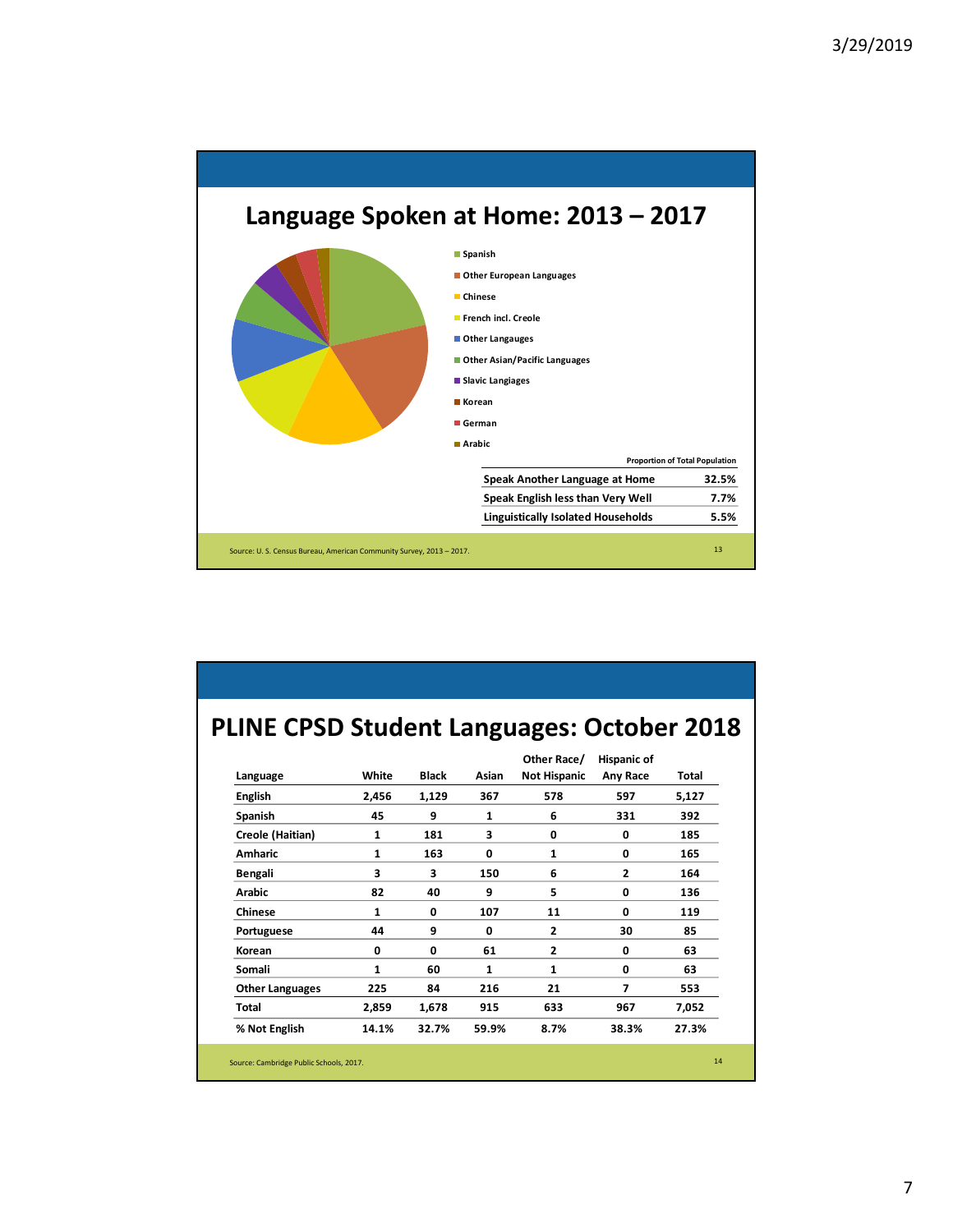

## **PLINE CPSD Student Languages: October 2018**

|                        |              |              |              | Other Race/         | <b>Hispanic of</b> |       |
|------------------------|--------------|--------------|--------------|---------------------|--------------------|-------|
| Language               | White        | <b>Black</b> | Asian        | <b>Not Hispanic</b> | Any Race           | Total |
| <b>English</b>         | 2,456        | 1,129        | 367          | 578                 | 597                | 5,127 |
| Spanish                | 45           | 9            | 1            | 6                   | 331                | 392   |
| Creole (Haitian)       | 1            | 181          | 3            | 0                   | 0                  | 185   |
| <b>Amharic</b>         | 1            | 163          | 0            | 1                   | $\mathbf 0$        | 165   |
| Bengali                | 3            | 3            | 150          | 6                   | $\overline{2}$     | 164   |
| <b>Arabic</b>          | 82           | 40           | 9            | 5                   | $\mathbf 0$        | 136   |
| <b>Chinese</b>         | $\mathbf{1}$ | 0            | 107          | 11                  | $\mathbf{0}$       | 119   |
| Portuguese             | 44           | 9            | $\mathbf 0$  | $\overline{2}$      | 30                 | 85    |
| Korean                 | 0            | 0            | 61           | $\overline{2}$      | $\mathbf 0$        | 63    |
| Somali                 | $\mathbf{1}$ | 60           | $\mathbf{1}$ | 1                   | $\mathbf{0}$       | 63    |
| <b>Other Languages</b> | 225          | 84           | 216          | 21                  | 7                  | 553   |
| Total                  | 2,859        | 1,678        | 915          | 633                 | 967                | 7,052 |
| % Not English          | 14.1%        | 32.7%        | 59.9%        | 8.7%                | 38.3%              | 27.3% |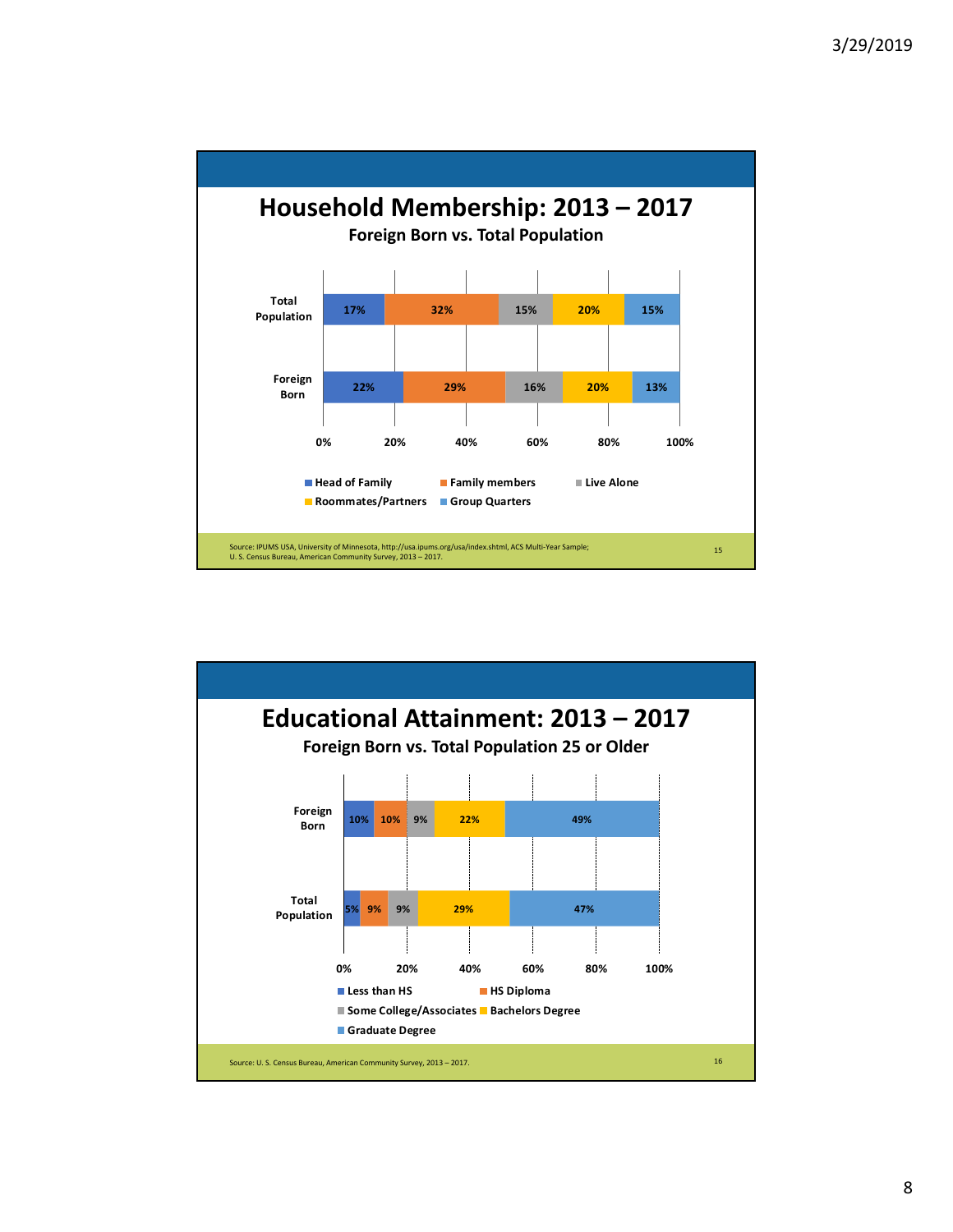

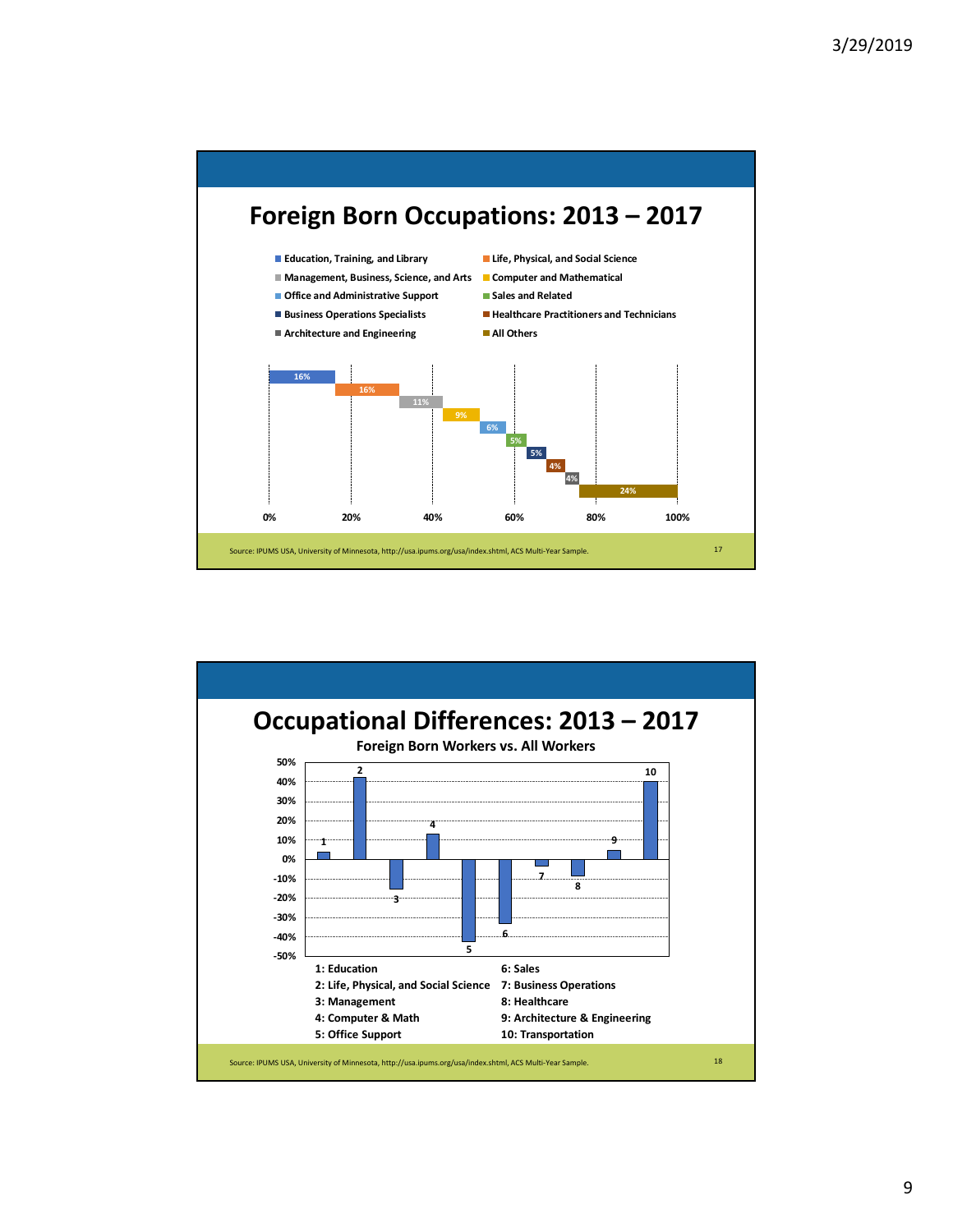

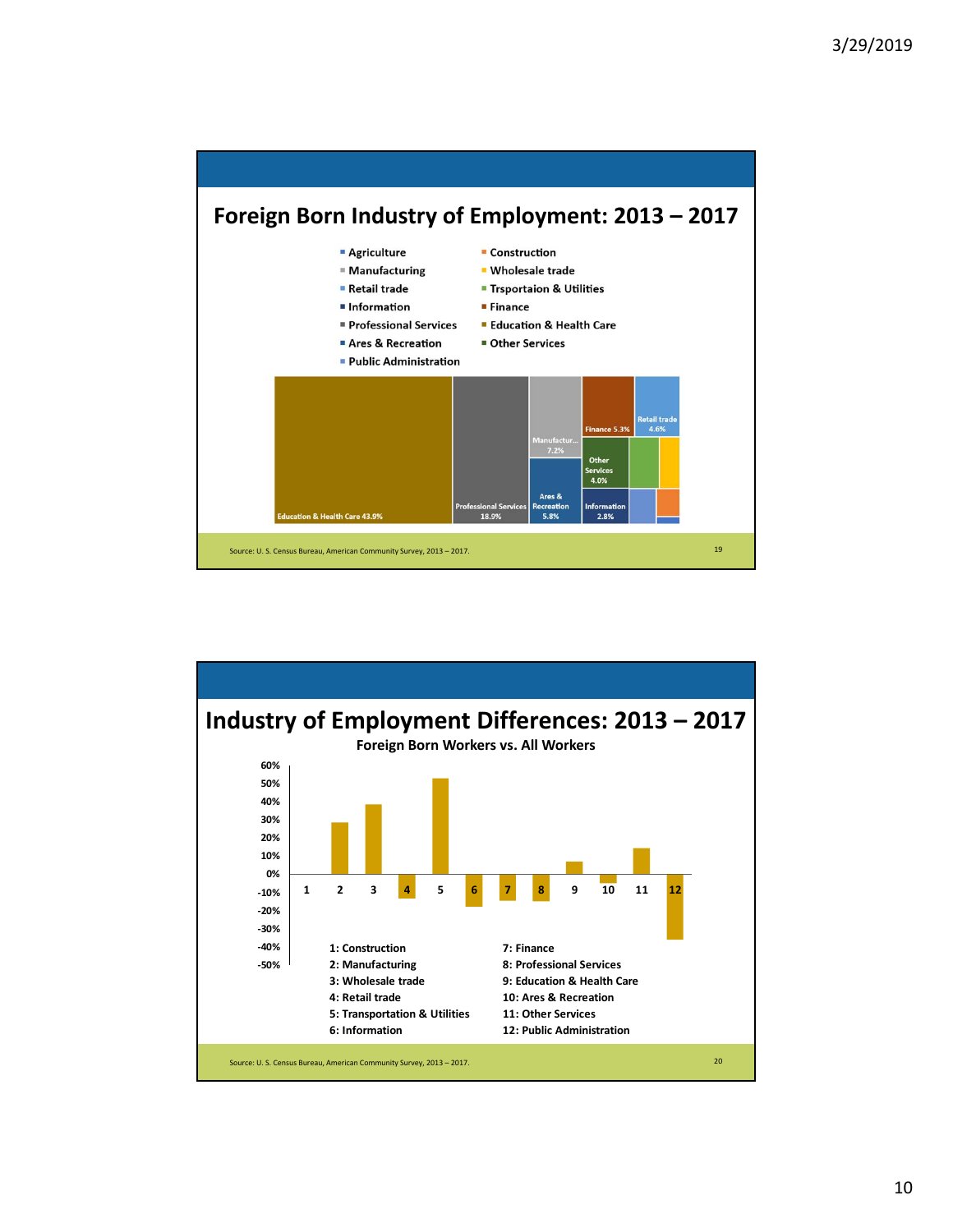

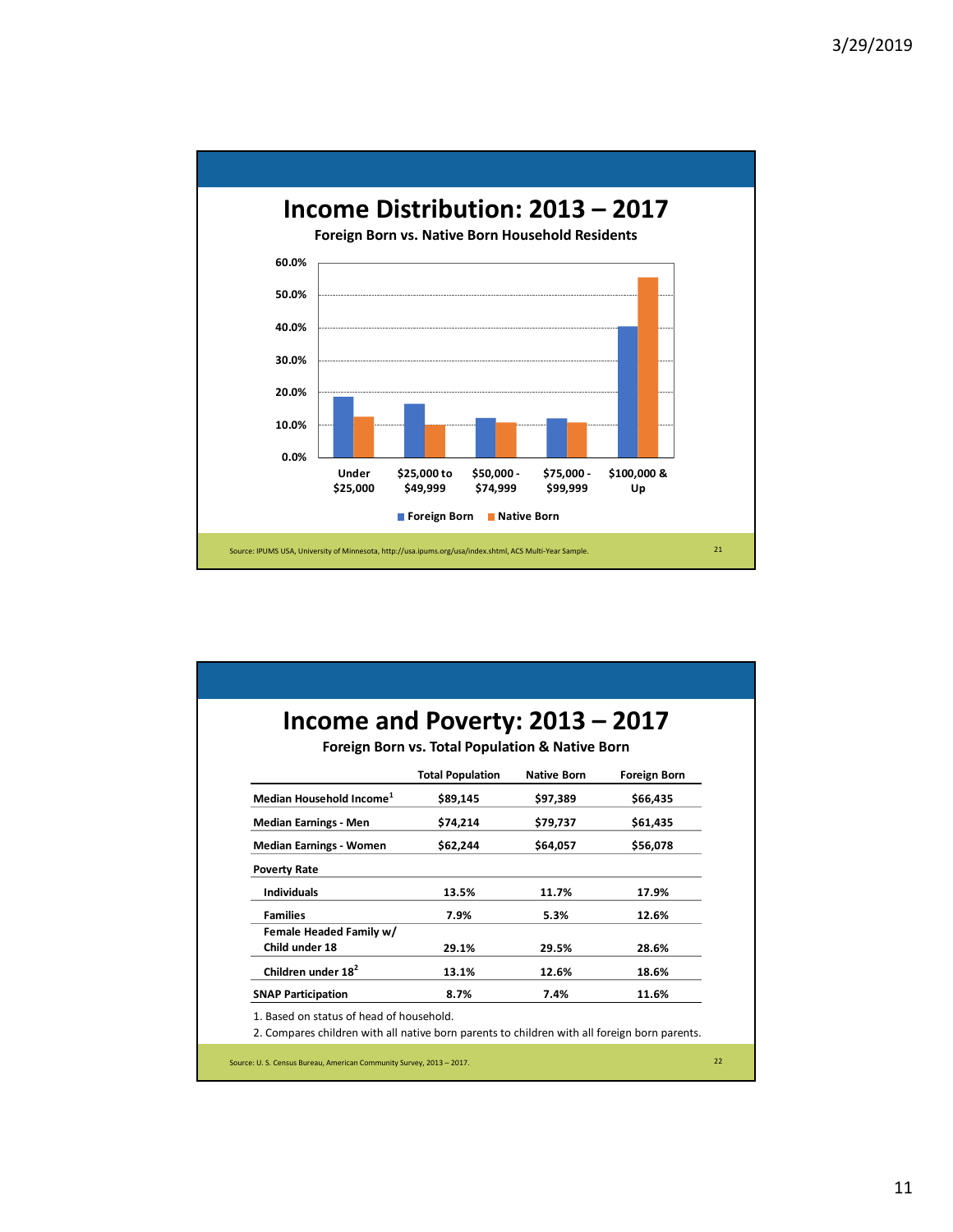

|                                           | Foreign Born vs. Total Population & Native Born<br><b>Total Population</b> | <b>Native Born</b> | <b>Foreign Born</b> |
|-------------------------------------------|----------------------------------------------------------------------------|--------------------|---------------------|
| Median Household Income <sup>1</sup>      | \$89,145                                                                   | \$97,389           | \$66,435            |
| <b>Median Earnings - Men</b>              | \$74,214                                                                   | \$79,737           | \$61,435            |
| <b>Median Earnings - Women</b>            | \$62,244                                                                   | \$64.057           | \$56,078            |
| <b>Poverty Rate</b>                       |                                                                            |                    |                     |
| <b>Individuals</b>                        | 13.5%                                                                      | 11.7%              | 17.9%               |
| <b>Families</b>                           | 7.9%                                                                       | 5.3%               | 12.6%               |
| Female Headed Family w/<br>Child under 18 | 29.1%                                                                      | 29.5%              | 28.6%               |
| Children under 18 <sup>2</sup>            | 13.1%                                                                      | 12.6%              | 18.6%               |
| <b>SNAP Participation</b>                 | 8.7%                                                                       | 7.4%               | 11.6%               |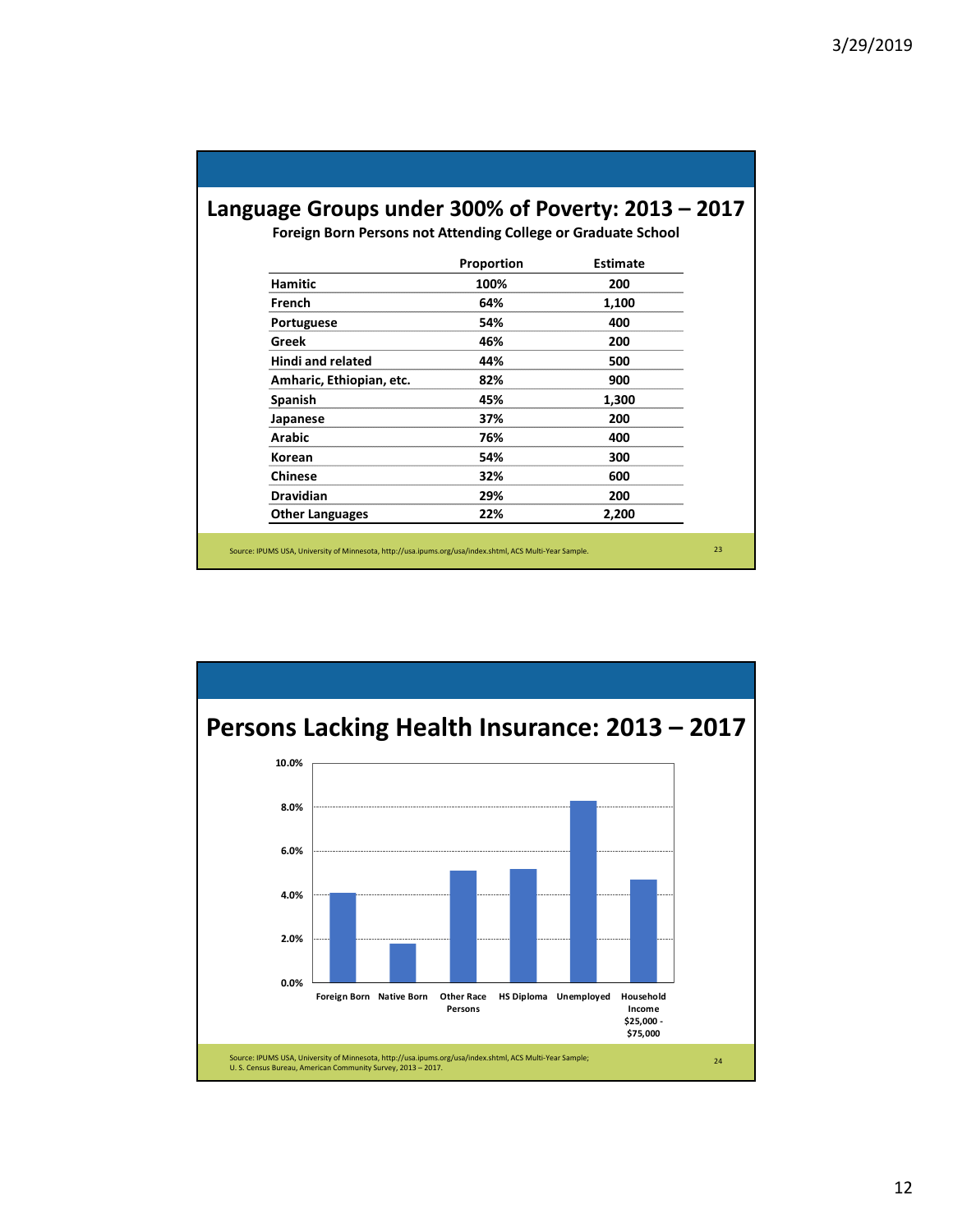## **Language Groups under 300% of Poverty: 2013 – 2017**

**Foreign Born Persons not Attending College or Graduate School**

|                          | Proportion | <b>Estimate</b> |
|--------------------------|------------|-----------------|
| <b>Hamitic</b>           | 100%       | 200             |
| French                   | 64%        | 1,100           |
| Portuguese               | 54%        | 400             |
| Greek                    | 46%        | 200             |
| <b>Hindi and related</b> | 44%        | 500             |
| Amharic, Ethiopian, etc. | 82%        | 900             |
| Spanish                  | 45%        | 1,300           |
| Japanese                 | 37%        | 200             |
| <b>Arabic</b>            | 76%        | 400             |
| Korean                   | 54%        | 300             |
| <b>Chinese</b>           | 32%        | 600             |
| <b>Dravidian</b>         | 29%        | 200             |
| <b>Other Languages</b>   | 22%        | 2,200           |

Source: IPUMS USA, University of Minnesota, http://usa.ipums.org/usa/index.shtml, ACS Multi‐Year Sample. 23

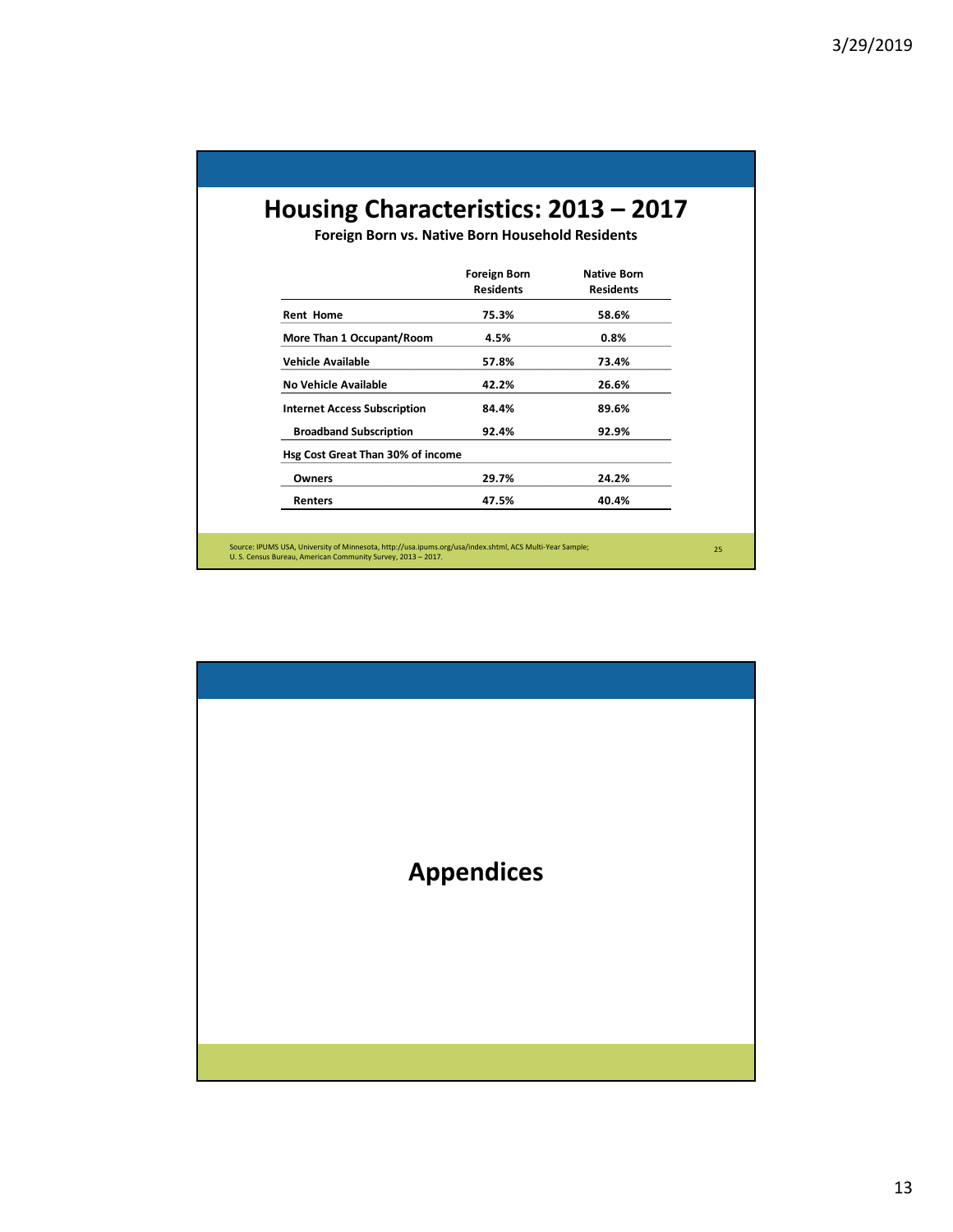## **Housing Characteristics: 2013 – 2017**

**Foreign Born vs. Native Born Household Residents**

|                                     | <b>Foreign Born</b> | <b>Native Born</b> |
|-------------------------------------|---------------------|--------------------|
|                                     | <b>Residents</b>    | <b>Residents</b>   |
| <b>Rent Home</b>                    | 75.3%               | 58.6%              |
| More Than 1 Occupant/Room           | 4.5%                | $0.8\%$            |
| Vehicle Available                   | 57.8%               | 73.4%              |
| No Vehicle Available                | 42.2%               | 26.6%              |
| <b>Internet Access Subscription</b> | 84.4%               | 89.6%              |
| <b>Broadband Subscription</b>       | 92.4%               | 92.9%              |
| Hsg Cost Great Than 30% of income   |                     |                    |
| Owners                              | 29.7%               | 24.2%              |
| Renters                             | 47.5%               | 40.4%              |

Source: IPUMS USA, University of Minnesota, http://usa.ipums.org/usa/index.shtml, ACS Multi-Year Sample;<br>U. S. Census Bureau, American Community Survey, 2013 – 2017.

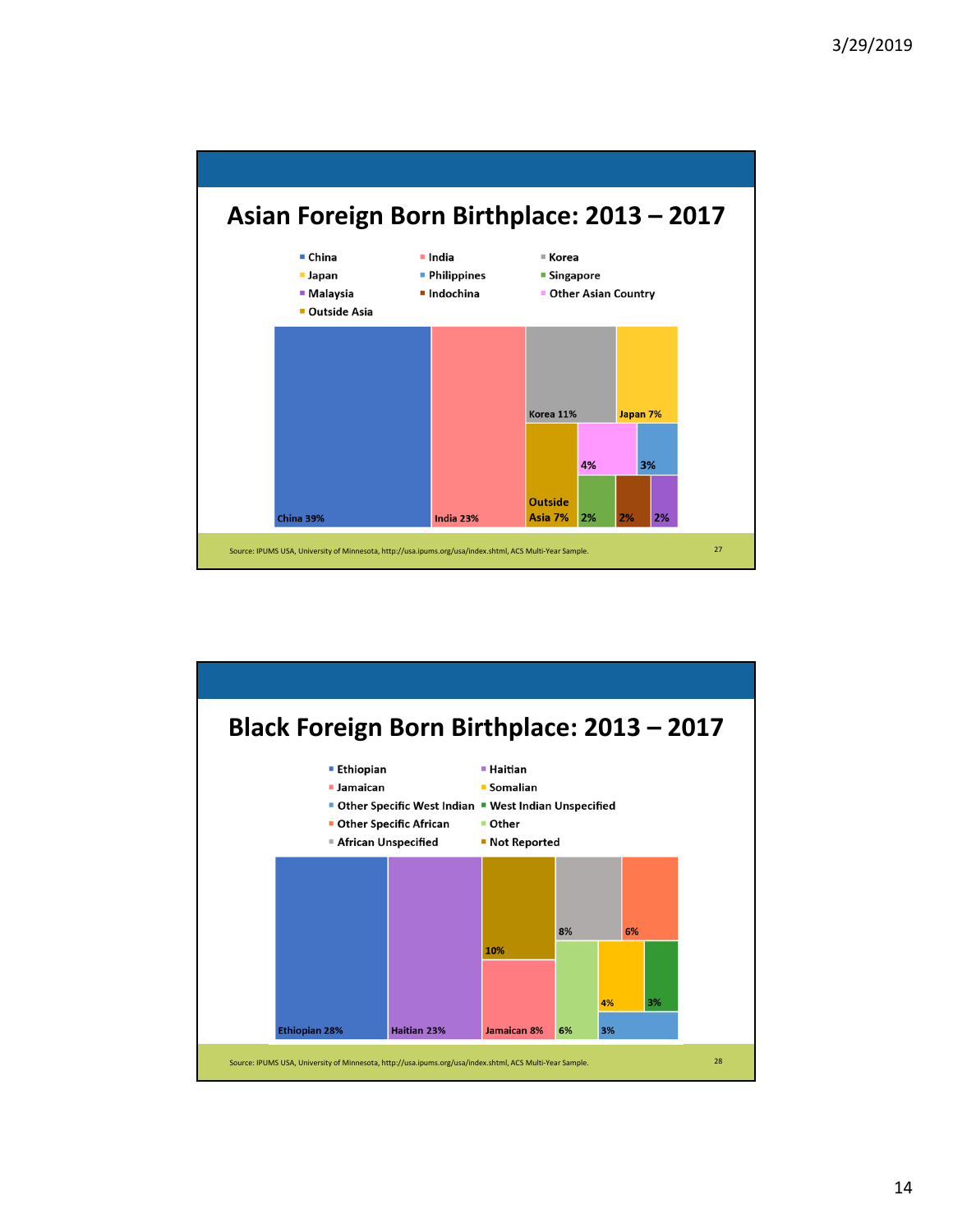

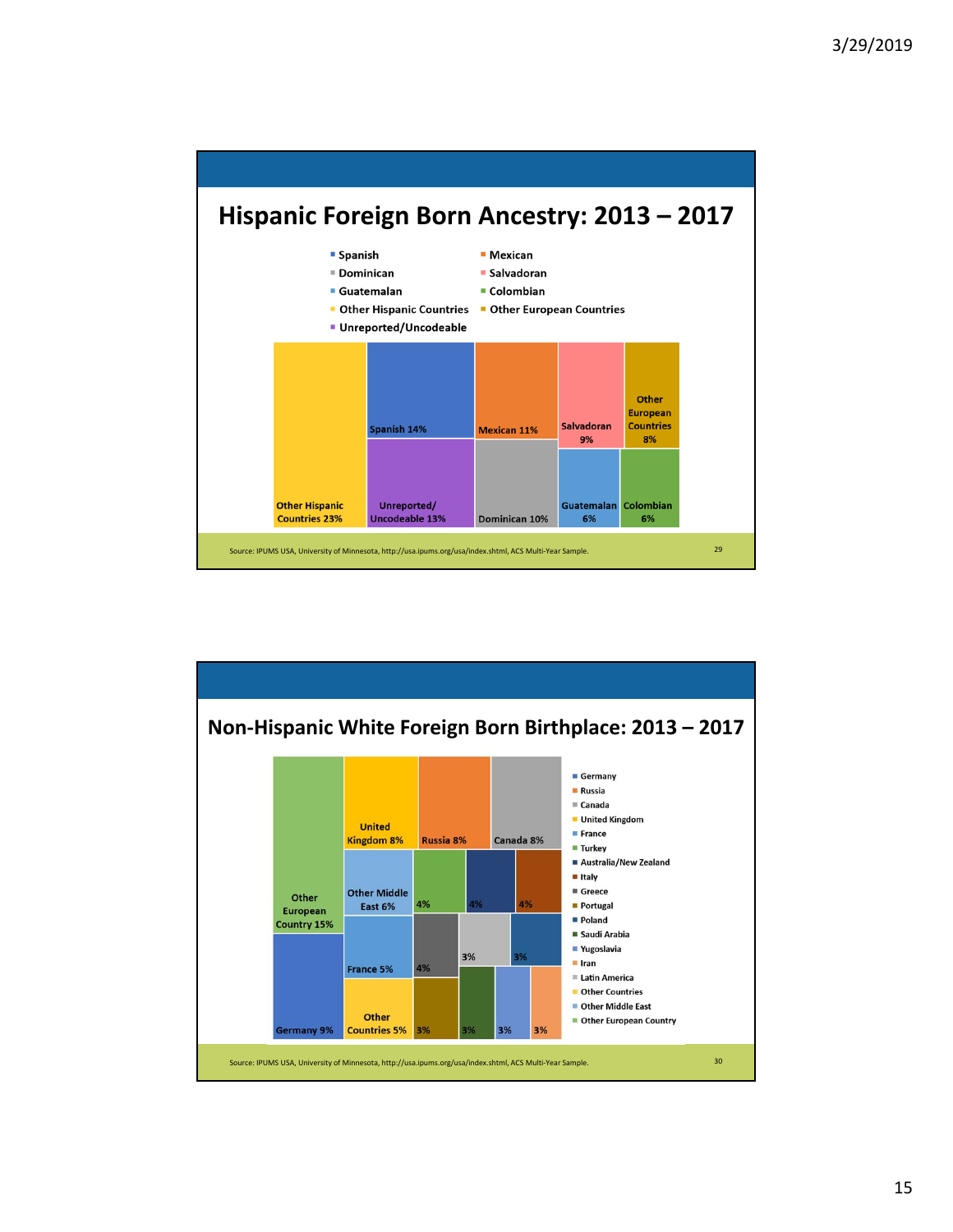

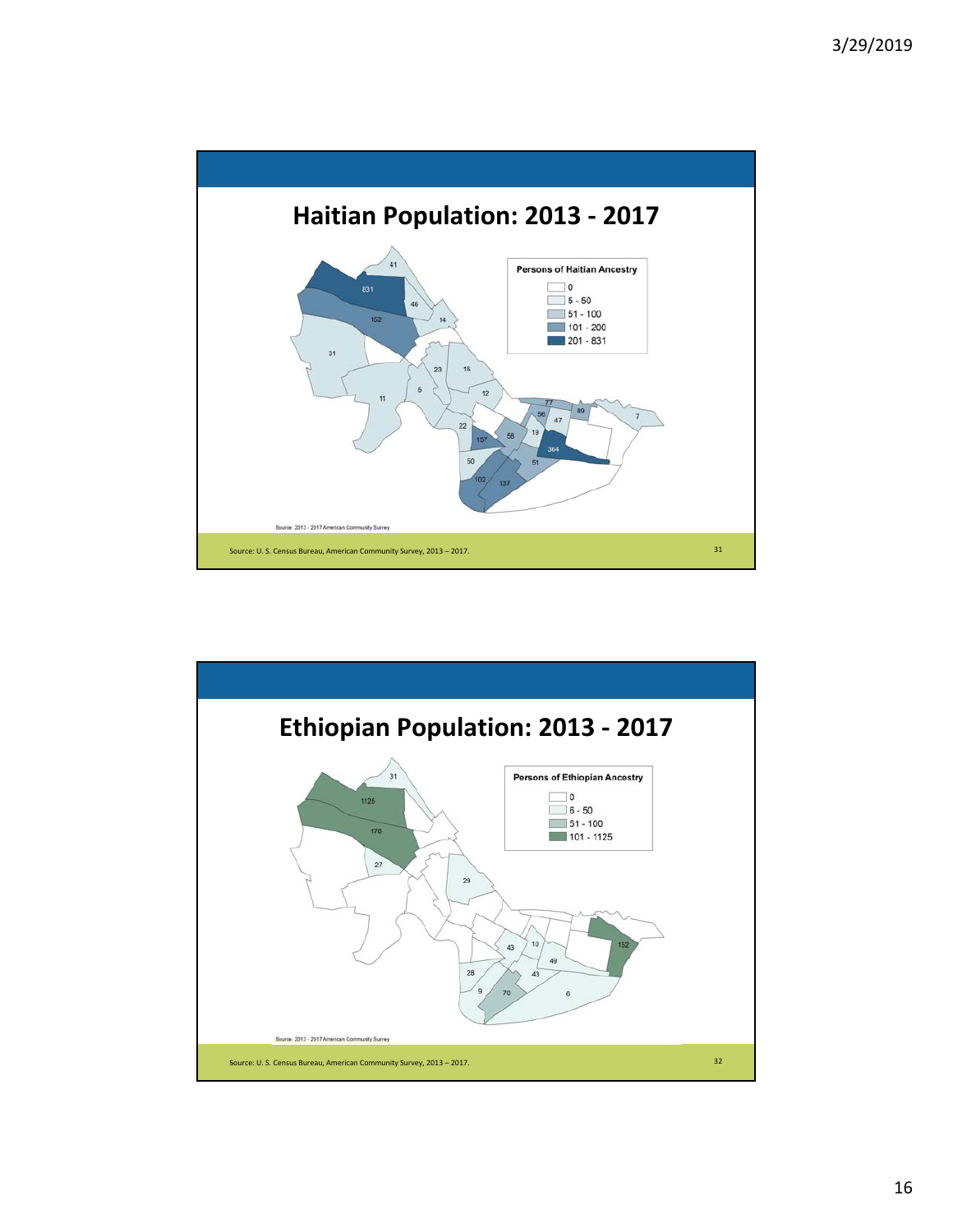

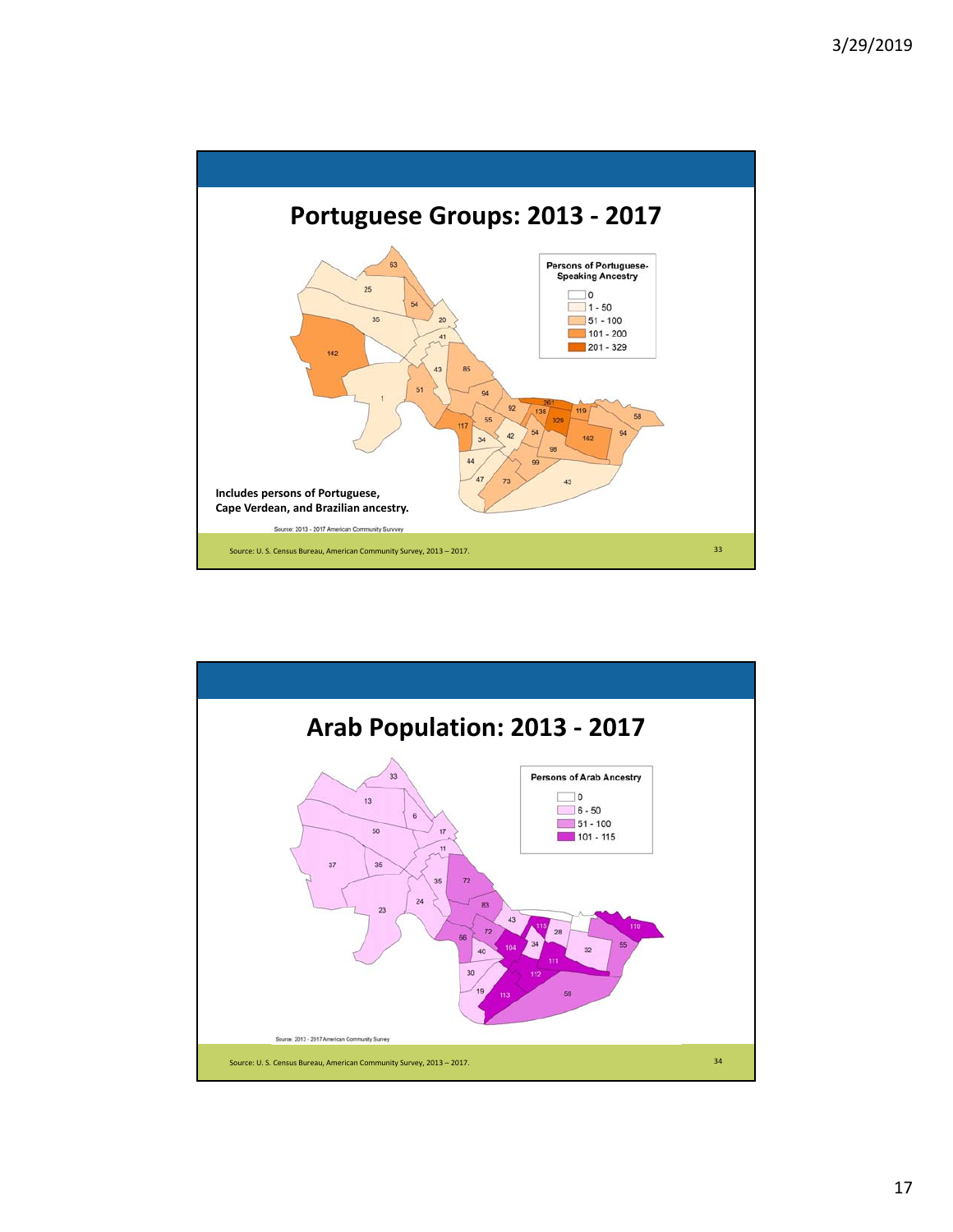